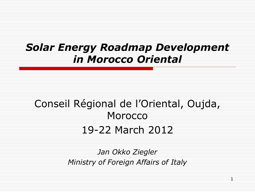#### *Solar Energy Roadmap Development in Morocco Oriental*

#### Conseil Régional de l'Oriental, Oujda, Morocco 19-22 March 2012

*Jan Okko Ziegler Ministry of Foreign Affairs of Italy*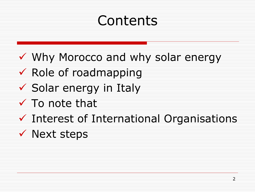# Contents

- Why Morocco and why solar energy
- $\checkmark$  Role of roadmapping
- $\checkmark$  Solar energy in Italy
- $\checkmark$  To note that
- $\checkmark$  Interest of International Organisations
- $\checkmark$  Next steps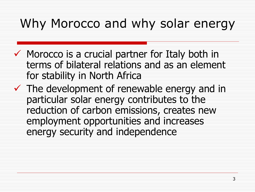## Why Morocco and why solar energy

- $\checkmark$  Morocco is a crucial partner for Italy both in terms of bilateral relations and as an element for stability in North Africa
- $\checkmark$  The development of renewable energy and in particular solar energy contributes to the reduction of carbon emissions, creates new employment opportunities and increases energy security and independence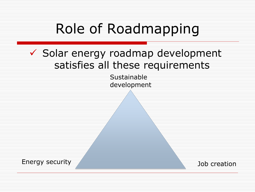# Role of Roadmapping

#### $\checkmark$  Solar energy roadmap development satisfies all these requirements

Sustainable development

Energy security

Job creation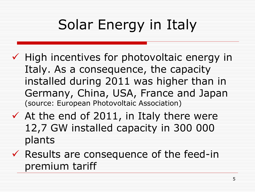# Solar Energy in Italy

- $\checkmark$  High incentives for photovoltaic energy in Italy. As a consequence, the capacity installed during 2011 was higher than in Germany, China, USA, France and Japan (source: European Photovoltaic Association)
- $\checkmark$  At the end of 2011, in Italy there were 12,7 GW installed capacity in 300 000 plants
- $\checkmark$  Results are consequence of the feed-in premium tariff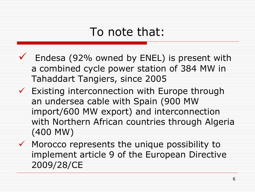#### To note that:

- $\checkmark$  Endesa (92% owned by ENEL) is present with a combined cycle power station of 384 MW in Tahaddart Tangiers, since 2005
- $\checkmark$  Existing interconnection with Europe through an undersea cable with Spain (900 MW import/600 MW export) and interconnection with Northern African countries through Algeria (400 MW)
- $\checkmark$  Morocco represents the unique possibility to implement article 9 of the European Directive 2009/28/CE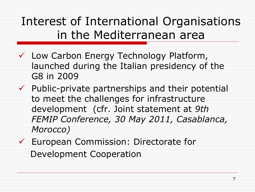## Interest of International Organisations in the Mediterranean area

- Low Carbon Energy Technology Platform, launched during the Italian presidency of the G8 in 2009
- $\checkmark$  Public-private partnerships and their potential to meet the challenges for infrastructure development (cfr. Joint statement at *9th FEMIP Conference, 30 May 2011, Casablanca, Morocco)*
- European Commission: Directorate for Development Cooperation